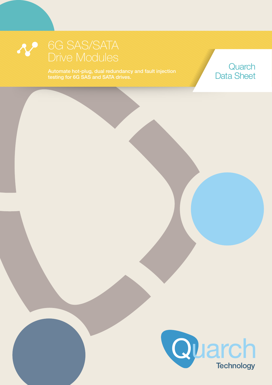testing for 6G SAS and SATA drives.

Programme Power Module Quarch Data Sheet

## **Quarch** Data Sheet



 $\mathcal{C}$  Copyright  $\mathcal{C}$  and  $\mathcal{C}$  and  $\mathcal{C}$  and  $\mathcal{C}$  are computed by  $\mathcal{C}$  and  $\mathcal{C}$  and  $\mathcal{C}$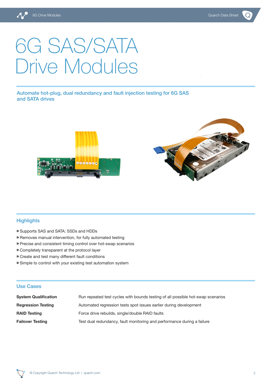# 6G SAS/SATA Drive Modules

Automate hot-plug, dual redundancy and fault injection testing for 6G SAS and SATA drives





#### **Highlights**

- ⁍ Supports SAS and SATA: SSDs and HDDs
- ⁍ Removes manual intervention, for fully automated testing
- ⁍ Precise and consistent timing control over hot-swap scenarios
- ⁍ Completely transparent at the protocol layer
- ⁍ Create and test many different fault conditions
- ⁍ Simple to control with your existing test automation system

#### Use Cases

| <b>System Qualification</b> | Run repeated test cycles with bounds testing of all possible hot-swap scenarios |
|-----------------------------|---------------------------------------------------------------------------------|
| <b>Regression Testing</b>   | Automated regression tests spot issues earlier during development               |
| <b>RAID Testing</b>         | Force drive rebuilds, single/double RAID faults                                 |
| <b>Failover Testing</b>     | Test dual redundancy, fault monitoring and performance during a failure         |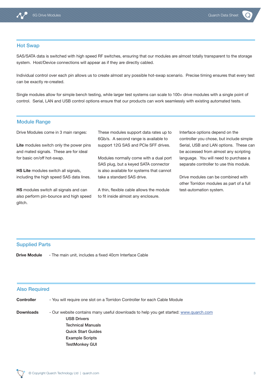

#### Hot Swap

SAS/SATA data is switched with high speed RF switches, ensuring that our modules are almost totally transparent to the storage system. Host/Device connections will appear as if they are directly cabled.

Individual control over each pin allows us to create almost any possible hot-swap scenario. Precise timing ensures that every test can be exactly re-created.

Single modules allow for simple bench testing, while larger test systems can scale to 100+ drive modules with a single point of control. Serial, LAN and USB control options ensure that our products can work seamlessly with existing automated tests.

#### Module Range

Drive Modules come in 3 main ranges:

**Lite** modules switch only the power pins and mated signals. These are for ideal for basic on/off hot-swap.

**HS Lite** modules switch all signals. including the high speed SAS data lines.

**HS** modules switch all signals and can also perform pin-bounce and high speed glitch.

These modules support data rates up to 6Gb/s. A second range is available to support 12G SAS and PCIe SFF drives.

Modules normally come with a dual port SAS plug, but a keyed SATA connector is also available for systems that cannot take a standard SAS drive.

A thin, flexible cable allows the module to fit inside almost any enclosure.

Interface options depend on the controller you chose, but include simple Serial, USB and LAN options. These can be accessed from almost any scripting language. You will need to purchase a separate controller to use this module.

Drive modules can be combined with other Torridon modules as part of a full test-automation system.

#### Supplied Parts

**Drive Module** - The main unit, includes a fixed 40cm Interface Cable

#### Also Required

| <b>Controller</b> | - You will require one slot on a Torridon Controller for each Cable Module |  |  |  |
|-------------------|----------------------------------------------------------------------------|--|--|--|
|-------------------|----------------------------------------------------------------------------|--|--|--|

**Downloads** - Our website contains many useful downloads to help you get started: [www.quarch.com](http://www.quarch.com) USB Drivers Technical Manuals Quick Start Guides Example Scripts TestMonkey GUI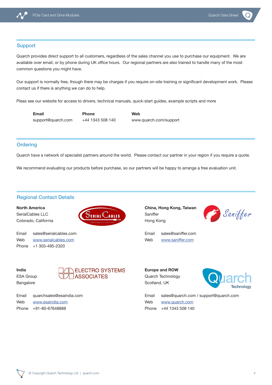

#### **Support**

Quarch provides direct support to all customers, regardless of the sales channel you use to purchase our equipment. We are available over email, or by phone during UK office hours. Our regional partners are also trained to handle many of the most common questions you might have.

Our support is normally free, though there may be charges if you require on-site training or significant development work. Please contact us if there is anything we can do to help.

Pleas see our website for access to drivers, technical manuals, quick-start guides, example scripts and more

**Email Phone Web**

support@quarch.com +44 1343 508 140 www.quarch.com/support

#### **Ordering**

Quarch have a network of specialist partners around the world. Please contact our partner in your region if you require a quote.

We recommend evaluating our products before purchase, so our partners will be happy to arrange a free evaluation unit.

#### Regional Contact Details

**North America**

SerialCables LLC Colorado, California



Email sales@serialcables.com Web [www.serialcables.com](http://www.serialcables.com) Phone +1 303-495-2320

**China, Hong Kong, Taiwan** Saniffer Hong Kong



Email sales@saniffer.com Web [www.saniffer.com](http://www.saniffer.com)

**India** ESA Group Bangalore



Email quarchsales@esaindia.com Web [www.esaindia.com](http://www.esaindia.com) Phone +91-80-67648888

**Europe and ROW** Quarch Technology Scotland, UK



Email sales@quarch.com / support@quarch.com Web [www.quarch.com](http://www.quarch.com)

Phone +44 1343 508 140

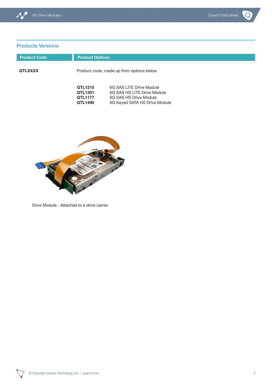$\overline{Q}$ 

### Products Versions

| <b>Product Code</b> | <b>Product Options</b>                          |                                                                                                                    |
|---------------------|-------------------------------------------------|--------------------------------------------------------------------------------------------------------------------|
| <b>QTLXXXX</b>      |                                                 | Product code, made up from options below                                                                           |
|                     | QTL1215<br>QTL1301<br><b>QTL1177</b><br>QTL1490 | 6G SAS LITE Drive Module<br>6G SAS HS LITE Drive Module<br>6G SAS HS Drive Module<br>6G Keyed SATA HS Drive Module |



Drive Module - Attached to a drive carrier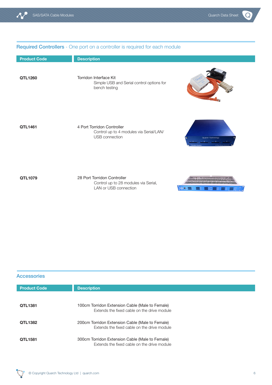**WORLER ENERGY** 

#### Required Controllers - One port on a controller is required for each module

| <b>Product Code</b> | <b>Description</b>                                                                      |                                 |
|---------------------|-----------------------------------------------------------------------------------------|---------------------------------|
| QTL1260             | Torridon Interface Kit<br>Simple USB and Serial control options for<br>bench testing    |                                 |
| QTL1461             | 4 Port Torridon Controller<br>Control up to 4 modules via Serial/LAN/<br>USB connection | <b>Quarch Technology</b><br>. 3 |
| QTL1079             | 28 Port Torridon Controller<br>Control up to 28 modules via Serial,                     | ,,,,,,,,,,,,,,,,,,,,,           |

LAN or USB connection

| <b>Accessories</b>  |                                                                                                |  |
|---------------------|------------------------------------------------------------------------------------------------|--|
| <b>Product Code</b> | <b>Description</b>                                                                             |  |
| <b>QTL1381</b>      | 100cm Torridon Extension Cable (Male to Female)<br>Extends the fixed cable on the drive module |  |
| QTL1382             | 200cm Torridon Extension Cable (Male to Female)<br>Extends the fixed cable on the drive module |  |
| <b>QTL1581</b>      | 300cm Torridon Extension Cable (Male to Female)<br>Extends the fixed cable on the drive module |  |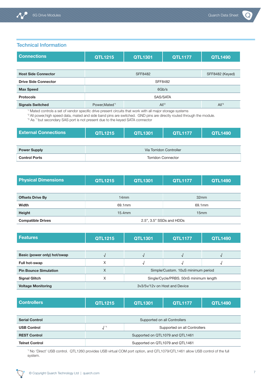Technical Information

| <b>Connections</b>          | <b>QTL1215</b>                                   | <b>QTL1301</b> | <b>QTL1177</b> | <b>QTL1490</b> |
|-----------------------------|--------------------------------------------------|----------------|----------------|----------------|
|                             |                                                  |                |                |                |
| <b>Host Side Connector</b>  | <b>SFF8482</b><br>SFF8482 (Keyed)                |                |                |                |
| <b>Drive Side Connector</b> | <b>SFF8482</b>                                   |                |                |                |
| <b>Max Speed</b>            | 6Gb/s                                            |                |                |                |
| <b>Protocols</b>            | SAS/SATA                                         |                |                |                |
| <b>Signals Switched</b>     | $All^3$<br>Power, Mated <sup>*1</sup><br>$All^2$ |                |                |                |

\*1 Mated controls a set of vendor specific drive present circuits that work with all major storage systems

\*2 All power,high speed data, mated and side band pins are switched. GND pins are directly routed through the module.

\*3 As \*1 but secondary SAS port is not present due to the keyed SATA connector

| <b>External Connections</b> | QTL1215                   | <b>QTL1301</b> | <b>QTL1177</b> | <b>QTL1490</b> |
|-----------------------------|---------------------------|----------------|----------------|----------------|
|                             |                           |                |                |                |
| <b>Power Supply</b>         | Via Torridon Controller   |                |                |                |
| <b>Control Ports</b>        | <b>Torridon Connector</b> |                |                |                |

| <b>Physical Dimensions</b> | QTL1215                  | <b>QTL1301</b> | <b>QTL1177</b> | <b>QTL1490</b> |
|----------------------------|--------------------------|----------------|----------------|----------------|
|                            |                          |                |                |                |
| <b>Offsets Drive By</b>    | 32mm<br>14mm             |                |                |                |
| Width                      | 69.1mm<br>69.1mm         |                |                |                |
| Height                     | $15.4$ mm<br>15mm        |                |                |                |
| <b>Compatible Drives</b>   | 2.5", 3.5" SSDs and HDDs |                |                |                |

| <b>Features</b>              | QTL1215                                 | <b>QTL1301</b>                         | <b>QTL1177</b> | <b>QTL1490</b> |
|------------------------------|-----------------------------------------|----------------------------------------|----------------|----------------|
|                              |                                         |                                        |                |                |
| Basic (power only) hot/swap  |                                         |                                        |                |                |
| Full hot-swap                | X                                       |                                        |                |                |
| <b>Pin Bounce Simulation</b> | Simple/Custom. 10uS minimum period<br>X |                                        |                |                |
| <b>Signal Glitch</b>         | Х                                       | Single/Cycle/PRBS. 50nS minimum length |                |                |
| <b>Voltage Monitoring</b>    | 3y3/5y/12y on Host and Device           |                                        |                |                |

| <b>Controllers</b> | <b>QTL1215</b> | QTL1301 | <b>QTL1177</b> | <b>QTL1490</b> |
|--------------------|----------------|---------|----------------|----------------|
|--------------------|----------------|---------|----------------|----------------|

| <b>Serial Control</b> | Supported on all Controllers |                                  |  |  |
|-----------------------|------------------------------|----------------------------------|--|--|
| <b>USB Control</b>    |                              | Supported on all Controllers     |  |  |
| <b>REST Control</b>   |                              | Supported on QTL1079 and QTL1461 |  |  |
| <b>Telnet Control</b> |                              | Supported on QTL1079 and QTL1461 |  |  |

\*1 No 'Direct' USB control. QTL1260 provides USB virtual COM port option, and QTL1079/QTL1461 allow USB control of the full system.